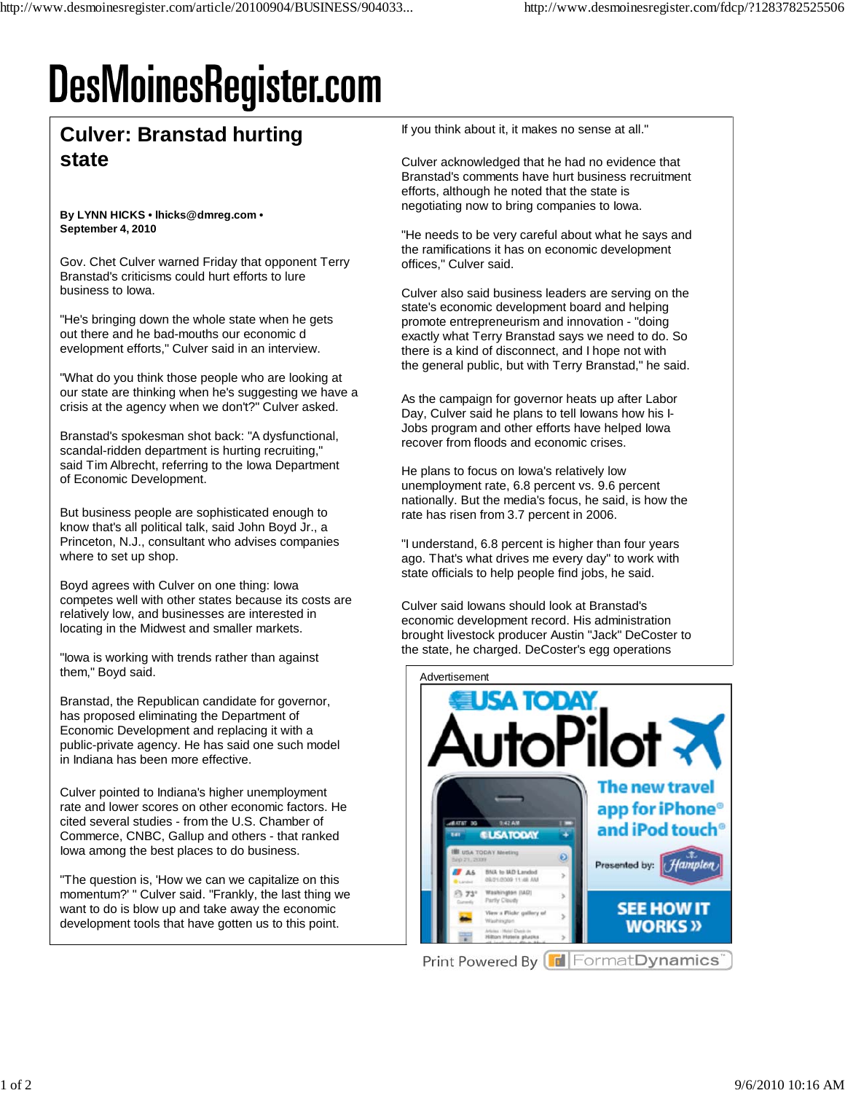## **DesMoinesRegister.com**

## **Culver: Branstad hurting state**

## **By LYNN HICKS • lhicks@dmreg.com • September 4, 2010**

Gov. Chet Culver warned Friday that opponent Terry Branstad's criticisms could hurt efforts to lure business to Iowa.

"He's bringing down the whole state when he gets out there and he bad-mouths our economic d evelopment efforts," Culver said in an interview.

"What do you think those people who are looking at our state are thinking when he's suggesting we have a crisis at the agency when we don't?" Culver asked.

Branstad's spokesman shot back: "A dysfunctional, scandal-ridden department is hurting recruiting," said Tim Albrecht, referring to the Iowa Department of Economic Development.

But business people are sophisticated enough to know that's all political talk, said John Boyd Jr., a Princeton, N.J., consultant who advises companies where to set up shop.

Boyd agrees with Culver on one thing: Iowa competes well with other states because its costs are relatively low, and businesses are interested in locating in the Midwest and smaller markets.

"Iowa is working with trends rather than against them," Boyd said.

Branstad, the Republican candidate for governor, has proposed eliminating the Department of Economic Development and replacing it with a public-private agency. He has said one such model in Indiana has been more effective.

Culver pointed to Indiana's higher unemployment rate and lower scores on other economic factors. He cited several studies - from the U.S. Chamber of Commerce, CNBC, Gallup and others - that ranked Iowa among the best places to do business.

"The question is, 'How we can we capitalize on this momentum?' " Culver said. "Frankly, the last thing we want to do is blow up and take away the economic development tools that have gotten us to this point.

If you think about it, it makes no sense at all."

Culver acknowledged that he had no evidence that Branstad's comments have hurt business recruitment efforts, although he noted that the state is negotiating now to bring companies to Iowa.

"He needs to be very careful about what he says and the ramifications it has on economic development offices," Culver said.

Culver also said business leaders are serving on the state's economic development board and helping promote entrepreneurism and innovation - "doing exactly what Terry Branstad says we need to do. So there is a kind of disconnect, and I hope not with the general public, but with Terry Branstad," he said.

As the campaign for governor heats up after Labor Day, Culver said he plans to tell Iowans how his I-Jobs program and other efforts have helped Iowa recover from floods and economic crises.

He plans to focus on Iowa's relatively low unemployment rate, 6.8 percent vs. 9.6 percent nationally. But the media's focus, he said, is how the rate has risen from 3.7 percent in 2006.

"I understand, 6.8 percent is higher than four years ago. That's what drives me every day" to work with state officials to help people find jobs, he said.

Culver said Iowans should look at Branstad's economic development record. His administration brought livestock producer Austin "Jack" DeCoster to the state, he charged. DeCoster's egg operations